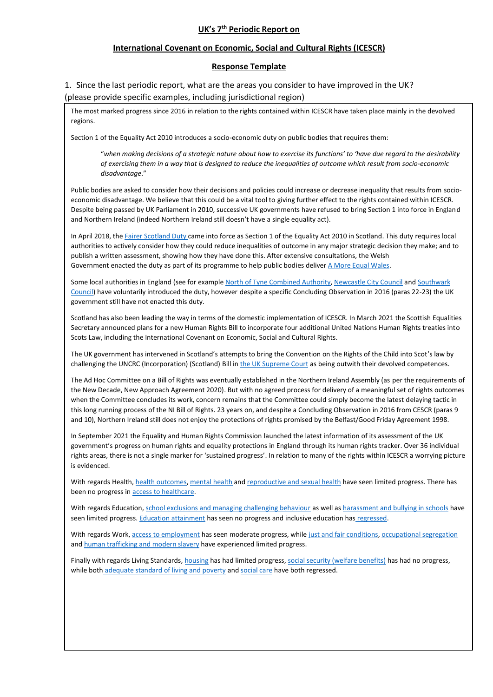## **UK's 7th Periodic Report on**

## **International Covenant on Economic, Social and Cultural Rights (ICESCR)**

## **Response Template**

1. Since the last periodic report, what are the areas you consider to have improved in the UK? (please provide specific examples, including jurisdictional region)

The most marked progress since 2016 in relation to the rights contained within ICESCR have taken place mainly in the devolved regions.

Section 1 of the Equality Act 2010 introduces a socio-economic duty on public bodies that requires them:

"*when making decisions of a strategic nature about how to exercise its functions' to 'have due regard to the desirability of exercising them in a way that is designed to reduce the inequalities of outcome which result from socio-economic disadvantage*."

Public bodies are asked to consider how their decisions and policies could increase or decrease inequality that results from socioeconomic disadvantage. We believe that this could be a vital tool to giving further effect to the rights contained within ICESCR. Despite being passed by UK Parliament in 2010, successive UK governments have refused to bring Section 1 into force in England and Northern Ireland (indeed Northern Ireland still doesn't have a single equality act).

In April 2018, the [Fairer Scotland Duty](https://www.gov.scot/publications/fairer-scotland-duty-interim-guidance-public-bodies/pages/2/) came into force as Section 1 of the Equality Act 2010 in Scotland. This duty requires local authorities to actively consider how they could reduce inequalities of outcome in any major strategic decision they make; and to publish a written assessment, showing how they have done this. After extensive consultations, the Welsh Government enacted the duty as part of its programme to help public bodies deliver [A More Equal Wales.](https://gov.wales/socio-economic-duty-overview)

Some local authorities in England (see for exampl[e North of Tyne Combined Authority,](https://justfair.org.uk/north-of-tyne-combined-authority-implement-socio-economic-duty/) [Newcastle City Council](https://justfair.org.uk/newcastle-city-council-implements-socio-economic-duty/) and Southwark [Council\)](https://justfair.org.uk/southwark-council-amends-constitution-to-include-socio-economic-duty/) have voluntarily introduced the duty, however despite a specific Concluding Observation in 2016 (paras 22-23) the UK government still have not enacted this duty.

Scotland has also been leading the way in terms of the domestic implementation of ICESCR. In March 2021 the Scottish Equalities Secretary announced plans for a new Human Rights Bill to incorporate four additional United Nations Human Rights treaties into Scots Law, including the International Covenant on Economic, Social and Cultural Rights.

The UK government has intervened in Scotland's attempts to bring the Convention on the Rights of the Child into Scot's law by challenging the UNCRC (Incorporation) (Scotland) Bill in [the UK Supreme Court](https://www.cypnow.co.uk/news/article/government-to-challenge-scottish-bill-to-enshrine-uncrc-in-law-at-supreme-court) as being outwith their devolved competences.

The Ad Hoc Committee on a Bill of Rights was eventually established in the Northern Ireland Assembly (as per the requirements of the New Decade, New Approach Agreement 2020). But with no agreed process for delivery of a meaningful set of rights outcomes when the Committee concludes its work, concern remains that the Committee could simply become the latest delaying tactic in this long running process of the NI Bill of Rights. 23 years on, and despite a Concluding Observation in 2016 from CESCR (paras 9 and 10), Northern Ireland still does not enjoy the protections of rights promised by the Belfast/Good Friday Agreement 1998.

In September 2021 the Equality and Human Rights Commission launched the latest information of its assessment of the UK government's progress on human rights and equality protections in England through its human rights tracker. Over 36 individual rights areas, there is not a single marker for 'sustained progress'. In relation to many of the rights within ICESCR a worrying picture is evidenced.

With regards Health[, health outcomes,](https://humanrightstracker.com/en/progress-assessment/health-outcomes-and-experience-in-the-healthcare-system-uk-government-assessment/) [mental health](https://humanrightstracker.com/en/progress-assessment/mental-health-uk-government-assessment/) an[d reproductive and sexual health](https://humanrightstracker.com/en/progress-assessment/reproductive-and-sexual-health-uk-government-assessment/) have seen limited progress. There has been no progress in [access to healthcare.](https://humanrightstracker.com/en/progress-assessment/access-to-healthcare-uk-government-assessment/)

With regards Education, [school exclusions and managing challenging behaviour](https://humanrightstracker.com/en/progress-assessment/school-exclusions-and-managing-challenging-behaviour-uk-government-assessment/) as well a[s harassment and bullying in schools](https://humanrightstracker.com/en/progress-assessment/harassment-and-bullying-in-school-uk-government-assessment/) have seen limited progress[. Education attainment](https://humanrightstracker.com/en/progress-assessment/educational-attainment-uk-government-assessment/) has seen no progress and inclusive education has [regressed.](https://humanrightstracker.com/en/progress-assessment/inclusive-education-uk-government-assessment/)

With regards Work[, access to employment](https://humanrightstracker.com/en/progress-assessment/access-to-employment-uk-government-assessment/) has seen moderate progress, while [just and fair conditions,](https://humanrightstracker.com/en/progress-assessment/just-and-fair-conditions-at-work-uk-government-assessment/) [occupational segregation](https://humanrightstracker.com/en/progress-assessment/occupational-segregation-uk-government-assessment/) an[d human trafficking and modern slavery](https://humanrightstracker.com/en/progress-assessment/human-trafficking-and-modern-slavery-uk-government-assessment/) have experienced limited progress.

Finally with regards Living Standards, [housing](https://humanrightstracker.com/en/progress-assessment/housing-uk-government-assessment/) has had limited progress[, social security \(welfare benefits\)](https://humanrightstracker.com/en/progress-assessment/social-security-welfare-benefits-uk-government-assessment/) has had no progress, while both [adequate standard of living and poverty](https://humanrightstracker.com/en/progress-assessment/adequate-standard-of-living-poverty-uk-government-assessment/) an[d social care](https://humanrightstracker.com/en/progress-assessment/social-care-uk-government-assessment/) have both regressed.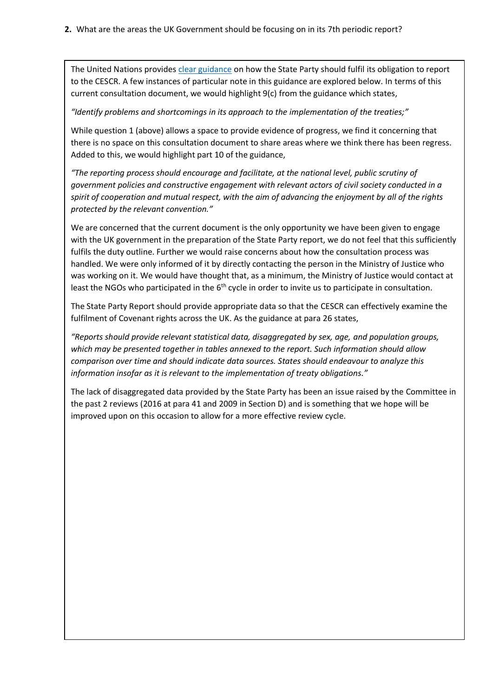The United Nations provides [clear guidance](https://docstore.ohchr.org/SelfServices/FilesHandler.ashx?enc=FhOD6sgqgzAhFXD9F%2feKaISumUaYuEFrBwahXRi3RQs03XEP7vSvGCAYNchM3nT4wdgcfyBkkcGBY%2fSKppB0id8PMi%2fUZAFBfflaxsUCd8Qjc%2b%2fPRvtBJ9plu%2fh8lSkc) on how the State Party should fulfil its obligation to report to the CESCR. A few instances of particular note in this guidance are explored below. In terms of this current consultation document, we would highlight 9(c) from the guidance which states,

## *"Identify problems and shortcomings in its approach to the implementation of the treaties;"*

While question 1 (above) allows a space to provide evidence of progress, we find it concerning that there is no space on this consultation document to share areas where we think there has been regress. Added to this, we would highlight part 10 of the guidance,

*"The reporting process should encourage and facilitate, at the national level, public scrutiny of government policies and constructive engagement with relevant actors of civil society conducted in a spirit of cooperation and mutual respect, with the aim of advancing the enjoyment by all of the rights protected by the relevant convention."*

We are concerned that the current document is the only opportunity we have been given to engage with the UK government in the preparation of the State Party report, we do not feel that this sufficiently fulfils the duty outline. Further we would raise concerns about how the consultation process was handled. We were only informed of it by directly contacting the person in the Ministry of Justice who was working on it. We would have thought that, as a minimum, the Ministry of Justice would contact at least the NGOs who participated in the  $6<sup>th</sup>$  cycle in order to invite us to participate in consultation.

The State Party Report should provide appropriate data so that the CESCR can effectively examine the fulfilment of Covenant rights across the UK. As the guidance at para 26 states,

*"Reports should provide relevant statistical data, disaggregated by sex, age, and population groups, which may be presented together in tables annexed to the report. Such information should allow comparison over time and should indicate data sources. States should endeavour to analyze this information insofar as it is relevant to the implementation of treaty obligations."*

The lack of disaggregated data provided by the State Party has been an issue raised by the Committee in the past 2 reviews (2016 at para 41 and 2009 in Section D) and is something that we hope will be improved upon on this occasion to allow for a more effective review cycle.